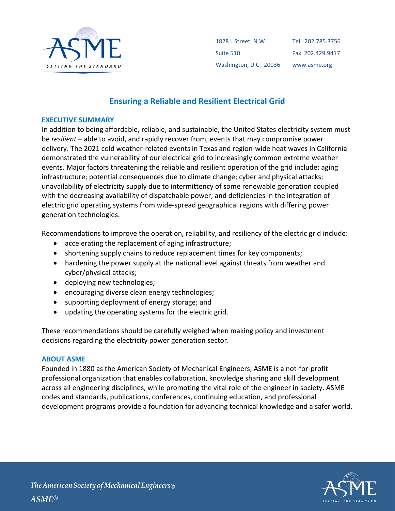

| 1828 L Street. N.W.    | Tel 202.785.3756 |
|------------------------|------------------|
| Suite 510              | Fax 202.429.9417 |
| Washington, D.C. 20036 | www.asme.org     |

# **Ensuring a Reliable and Resilient Electrical Grid**

#### **EXECUTIVE SUMMARY**

In addition to being affordable, reliable, and sustainable, the United States electricity system must be *resilient* – able to avoid, and rapidly recover from, events that may compromise power delivery. The 2021 cold weather-related events in Texas and region-wide heat waves in California demonstrated the vulnerability of our electrical grid to increasingly common extreme weather events. Major factors threatening the reliable and resilient operation of the grid include: aging infrastructure; potential consequences due to climate change; cyber and physical attacks; unavailability of electricity supply due to intermittency of some renewable generation coupled with the decreasing availability of dispatchable power; and deficiencies in the integration of electric grid operating systems from wide-spread geographical regions with differing power generation technologies.

Recommendations to improve the operation, reliability, and resiliency of the electric grid include:

- accelerating the replacement of aging infrastructure;
- shortening supply chains to reduce replacement times for key components;
- hardening the power supply at the national level against threats from weather and cyber/physical attacks;
- deploying new technologies;
- encouraging diverse clean energy technologies;
- supporting deployment of energy storage; and
- updating the operating systems for the electric grid.

These recommendations should be carefully weighed when making policy and investment decisions regarding the electricity power generation sector.

### **ABOUT ASME**

Founded in 1880 as the American Society of Mechanical Engineers, ASME is a not-for-profit professional organization that enables collaboration, knowledge sharing and skill development across all engineering disciplines, while promoting the vital role of the engineer in society. ASME codes and standards, publications, conferences, continuing education, and professional development programs provide a foundation for advancing technical knowledge and a safer world.

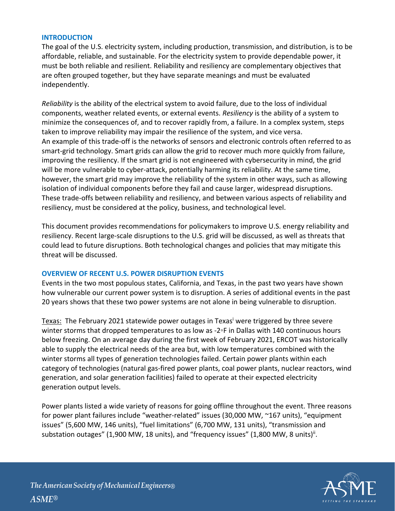### **INTRODUCTION**

The goal of the U.S. electricity system, including production, transmission, and distribution, is to be affordable, reliable, and sustainable. For the electricity system to provide dependable power, it must be both reliable and resilient. Reliability and resiliency are complementary objectives that are often grouped together, but they have separate meanings and must be evaluated independently.

*Reliability* is the ability of the electrical system to avoid failure, due to the loss of individual components, weather related events, or external events. *Resiliency* is the ability of a system to minimize the consequences of, and to recover rapidly from, a failure. In a complex system, steps taken to improve reliability may impair the resilience of the system, and vice versa. An example of this trade-off is the networks of sensors and electronic controls often referred to as smart-grid technology. Smart grids can allow the grid to recover much more quickly from failure, improving the resiliency. If the smart grid is not engineered with cybersecurity in mind, the grid will be more vulnerable to cyber-attack, potentially harming its reliability. At the same time, however, the smart grid may improve the reliability of the system in other ways, such as allowing isolation of individual components before they fail and cause larger, widespread disruptions. These trade-offs between reliability and resiliency, and between various aspects of reliability and resiliency, must be considered at the policy, business, and technological level.

This document provides recommendations for policymakers to improve U.S. energy reliability and resiliency. Recent large-scale disruptions to the U.S. grid will be discussed, as well as threats that could lead to future disruptions. Both technological changes and policies that may mitigate this threat will be discussed.

### **OVERVIEW OF RECENT U.S. POWER DISRUPTION EVENTS**

Events in the two most populous states, California, and Texas, in the past two years have shown how vulnerable our current power system is to disruption. A series of additional events in the past 20 years shows that these two power systems are not alone in being vulnerable to disruption.

Texas:The February 2021 statewide power outages in Texas<sup>i</sup> were triggered by three severe winter storms that dropped temperatures to as low as -2◦F in Dallas with 140 continuous hours below freezing. On an average day during the first week of February 2021, ERCOT was historically able to supply the electrical needs of the area but, with low temperatures combined with the winter storms all types of generation technologies failed. Certain power plants within each category of technologies (natural gas-fired power plants, coal power plants, nuclear reactors, wind generation, and solar generation facilities) failed to operate at their expected electricity generation output levels.

Power plants listed a wide variety of reasons for going offline throughout the event. Three reasons for power plant failures include "weather-related" issues (30,000 MW, ~167 units), "equipment issues" (5,600 MW, 146 units), "fuel limitations" (6,700 MW, 131 units), "transmission and substation outages" (1,900 MW, 18 units), and "frequency issues" (1,800 MW, 8 units)<sup>ii</sup>.

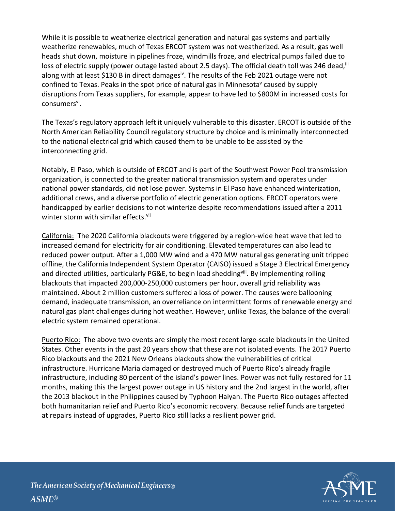While it is possible to weatherize electrical generation and natural gas systems and partially weatherize renewables, much of Texas ERCOT system was not weatherized. As a result, gas well heads shut down, moisture in pipelines froze, windmills froze, and electrical pumps failed due to loss of electric supply (power outage lasted about 2.5 days). The official death toll was 246 dead,  $\overline{u}$ along with at least \$130 B in direct damages<sup>iv</sup>. The results of the Feb 2021 outage were not confined to Texas. Peaks in the spot price of natural gas in Minnesota<sup>v</sup> caused by supply disruptions from Texas suppliers, for example, appear to have led to \$800M in increased costs for consumers<sup>vi</sup>.

The Texas's regulatory approach left it uniquely vulnerable to this disaster. ERCOT is outside of the North American Reliability Council regulatory structure by choice and is minimally interconnected to the national electrical grid which caused them to be unable to be assisted by the interconnecting grid.

Notably, El Paso, which is outside of ERCOT and is part of the Southwest Power Pool transmission organization, is connected to the greater national transmission system and operates under national power standards, did not lose power. Systems in El Paso have enhanced winterization, additional crews, and a diverse portfolio of electric generation options. ERCOT operators were handicapped by earlier decisions to not winterize despite recommendations issued after a 2011 winter storm with similar effects.<sup>vii</sup>

California: The 2020 California blackouts were triggered by a region-wide heat wave that led to increased demand for electricity for air conditioning. Elevated temperatures can also lead to reduced power output. After a 1,000 MW wind and a 470 MW natural gas generating unit tripped offline, the California Independent System Operator (CAISO) issued a Stage 3 Electrical Emergency and directed utilities, particularly PG&E, to begin load shedding<sup>viii</sup>. By implementing rolling blackouts that impacted 200,000-250,000 customers per hour, overall grid reliability was maintained. About 2 million customers suffered a loss of power. The causes were ballooning demand, inadequate transmission, an overreliance on intermittent forms of renewable energy and natural gas plant challenges during hot weather. However, unlike Texas, the balance of the overall electric system remained operational.

Puerto Rico:The above two events are simply the most recent large-scale blackouts in the United States. Other events in the past 20 years show that these are not isolated events. The 2017 Puerto Rico blackouts and the 2021 New Orleans blackouts show the vulnerabilities of critical infrastructure. Hurricane Maria damaged or destroyed much of Puerto Rico's already fragile infrastructure, including 80 percent of the island's power lines. Power was not fully restored for 11 months, making this the largest power outage in US history and the 2nd largest in the world, after the 2013 blackout in the Philippines caused by Typhoon Haiyan. The Puerto Rico outages affected both humanitarian relief and Puerto Rico's economic recovery. Because relief funds are targeted at repairs instead of upgrades, Puerto Rico still lacks a resilient power grid.

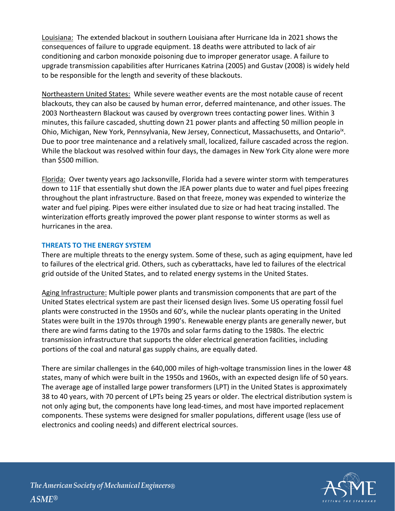Louisiana: The extended blackout in southern Louisiana after Hurricane Ida in 2021 shows the consequences of failure to upgrade equipment. 18 deaths were attributed to lack of air conditioning and carbon monoxide poisoning due to improper generator usage. A failure to upgrade transmission capabilities after Hurricanes Katrina (2005) and Gustav (2008) is widely held to be responsible for the length and severity of these blackouts.

Northeastern United States: While severe weather events are the most notable cause of recent blackouts, they can also be caused by human error, deferred maintenance, and other issues. The 2003 Northeastern Blackout was caused by overgrown trees contacting power lines. Within 3 minutes, this failure cascaded, shutting down 21 power plants and affecting 50 million people in Ohio, Michigan, New York, Pennsylvania, New Jersey, Connecticut, Massachusetts, and Ontario<sup>ix</sup>. Due to poor tree maintenance and a relatively small, localized, failure cascaded across the region. While the blackout was resolved within four days, the damages in New York City alone were more than \$500 million.

Florida: Over twenty years ago Jacksonville, Florida had a severe winter storm with temperatures down to 11F that essentially shut down the JEA power plants due to water and fuel pipes freezing throughout the plant infrastructure. Based on that freeze, money was expended to winterize the water and fuel piping. Pipes were either insulated due to size or had heat tracing installed. The winterization efforts greatly improved the power plant response to winter storms as well as hurricanes in the area.

## **THREATS TO THE ENERGY SYSTEM**

There are multiple threats to the energy system. Some of these, such as aging equipment, have led to failures of the electrical grid. Others, such as cyberattacks, have led to failures of the electrical grid outside of the United States, and to related energy systems in the United States.

Aging Infrastructure: Multiple power plants and transmission components that are part of the United States electrical system are past their licensed design lives. Some US operating fossil fuel plants were constructed in the 1950s and 60's, while the nuclear plants operating in the United States were built in the 1970s through 1990's. Renewable energy plants are generally newer, but there are wind farms dating to the 1970s and solar farms dating to the 1980s. The electric transmission infrastructure that supports the older electrical generation facilities, including portions of the coal and natural gas supply chains, are equally dated.

There are similar challenges in the 640,000 miles of high-voltage transmission lines in the lower 48 states, many of which were built in the 1950s and 1960s, with an expected design life of 50 years. The average age of installed large power transformers (LPT) in the United States is approximately 38 to 40 years, with 70 percent of LPTs being 25 years or older. The electrical distribution system is not only aging but, the components have long lead-times, and most have imported replacement components. These systems were designed for smaller populations, different usage (less use of electronics and cooling needs) and different electrical sources.

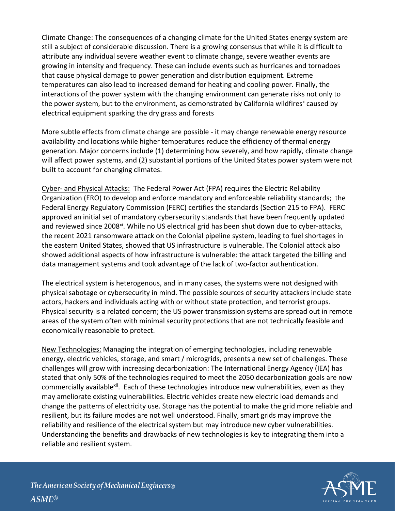Climate Change: The consequences of a changing climate for the United States energy system are still a subject of considerable discussion. There is a growing consensus that while it is difficult to attribute any individual severe weather event to climate change, severe weather events are growing in intensity and frequency. These can include events such as hurricanes and tornadoes that cause physical damage to power generation and distribution equipment. Extreme temperatures can also lead to increased demand for heating and cooling power. Finally, the interactions of the power system with the changing environment can generate risks not only to the power system, but to the environment, as demonstrated by California wildfires<sup>x</sup> caused by electrical equipment sparking the dry grass and forests

More subtle effects from climate change are possible - it may change renewable energy resource availability and locations while higher temperatures reduce the efficiency of thermal energy generation. Major concerns include (1) determining how severely, and how rapidly, climate change will affect power systems, and (2) substantial portions of the United States power system were not built to account for changing climates.

Cyber- and Physical Attacks: The Federal Power Act (FPA) requires the Electric Reliability Organization (ERO) to develop and enforce mandatory and enforceable reliability standards; the Federal Energy Regulatory Commission (FERC) certifies the standards (Section 215 to FPA). FERC approved an initial set of mandatory cybersecurity standards that have been frequently updated and reviewed since 2008<sup>xi</sup>. While no US electrical grid has been shut down due to cyber-attacks, the recent 2021 ransomware attack on the Colonial pipeline system, leading to fuel shortages in the eastern United States, showed that US infrastructure is vulnerable. The Colonial attack also showed additional aspects of how infrastructure is vulnerable: the attack targeted the billing and data management systems and took advantage of the lack of two-factor authentication.

The electrical system is heterogenous, and in many cases, the systems were not designed with physical sabotage or cybersecurity in mind. The possible sources of security attackers include state actors, hackers and individuals acting with or without state protection, and terrorist groups. Physical security is a related concern; the US power transmission systems are spread out in remote areas of the system often with minimal security protections that are not technically feasible and economically reasonable to protect.

New Technologies: Managing the integration of emerging technologies, including renewable energy, electric vehicles, storage, and smart / microgrids, presents a new set of challenges. These challenges will grow with increasing decarbonization: The International Energy Agency (IEA) has stated that only 50% of the technologies required to meet the 2050 decarbonization goals are now commercially available<sup>xii</sup>. Each of these technologies introduce new vulnerabilities, even as they may ameliorate existing vulnerabilities. Electric vehicles create new electric load demands and change the patterns of electricity use. Storage has the potential to make the grid more reliable and resilient, but its failure modes are not well understood. Finally, smart grids may improve the reliability and resilience of the electrical system but may introduce new cyber vulnerabilities. Understanding the benefits and drawbacks of new technologies is key to integrating them into a reliable and resilient system.

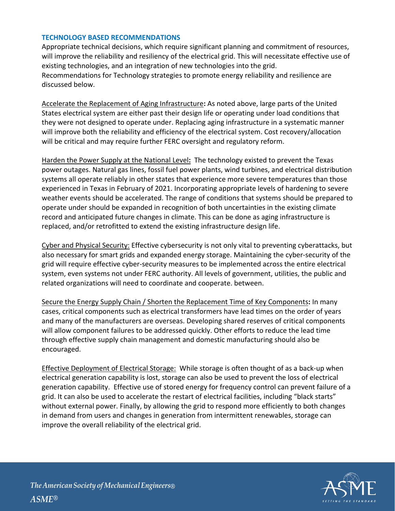## **TECHNOLOGY BASED RECOMMENDATIONS**

Appropriate technical decisions, which require significant planning and commitment of resources, will improve the reliability and resiliency of the electrical grid. This will necessitate effective use of existing technologies, and an integration of new technologies into the grid. Recommendations for Technology strategies to promote energy reliability and resilience are discussed below.

Accelerate the Replacement of Aging Infrastructure**:** As noted above, large parts of the United States electrical system are either past their design life or operating under load conditions that they were not designed to operate under. Replacing aging infrastructure in a systematic manner will improve both the reliability and efficiency of the electrical system. Cost recovery/allocation will be critical and may require further FERC oversight and regulatory reform.

Harden the Power Supply at the National Level**:** The technology existed to prevent the Texas power outages. Natural gas lines, fossil fuel power plants, wind turbines, and electrical distribution systems all operate reliably in other states that experience more severe temperatures than those experienced in Texas in February of 2021. Incorporating appropriate levels of hardening to severe weather events should be accelerated. The range of conditions that systems should be prepared to operate under should be expanded in recognition of both uncertainties in the existing climate record and anticipated future changes in climate. This can be done as aging infrastructure is replaced, and/or retrofitted to extend the existing infrastructure design life.

Cyber and Physical Security: Effective cybersecurity is not only vital to preventing cyberattacks, but also necessary for smart grids and expanded energy storage. Maintaining the cyber-security of the grid will require effective cyber-security measures to be implemented across the entire electrical system, even systems not under FERC authority. All levels of government, utilities, the public and related organizations will need to coordinate and cooperate. between.

Secure the Energy Supply Chain / Shorten the Replacement Time of Key Components**:** In many cases, critical components such as electrical transformers have lead times on the order of years and many of the manufacturers are overseas. Developing shared reserves of critical components will allow component failures to be addressed quickly. Other efforts to reduce the lead time through effective supply chain management and domestic manufacturing should also be encouraged.

Effective Deployment of Electrical Storage: While storage is often thought of as a back-up when electrical generation capability is lost, storage can also be used to prevent the loss of electrical generation capability. Effective use of stored energy for frequency control can prevent failure of a grid. It can also be used to accelerate the restart of electrical facilities, including "black starts" without external power. Finally, by allowing the grid to respond more efficiently to both changes in demand from users and changes in generation from intermittent renewables, storage can improve the overall reliability of the electrical grid.

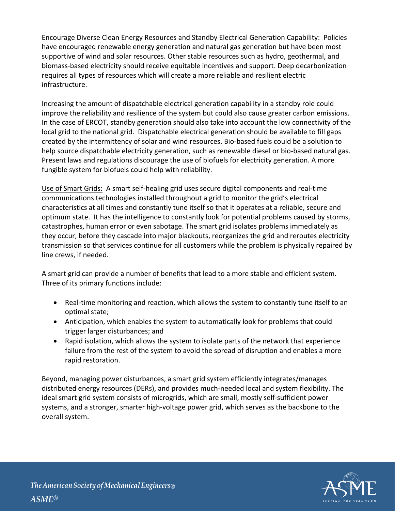Encourage Diverse Clean Energy Resources and Standby Electrical Generation Capability: Policies have encouraged renewable energy generation and natural gas generation but have been most supportive of wind and solar resources. Other stable resources such as hydro, geothermal, and biomass-based electricity should receive equitable incentives and support. Deep decarbonization requires all types of resources which will create a more reliable and resilient electric infrastructure.

Increasing the amount of dispatchable electrical generation capability in a standby role could improve the reliability and resilience of the system but could also cause greater carbon emissions. In the case of ERCOT, standby generation should also take into account the low connectivity of the local grid to the national grid. Dispatchable electrical generation should be available to fill gaps created by the intermittency of solar and wind resources. Bio-based fuels could be a solution to help source dispatchable electricity generation, such as renewable diesel or bio-based natural gas. Present laws and regulations discourage the use of biofuels for electricity generation. A more fungible system for biofuels could help with reliability.

Use of Smart Grids: A smart self-healing grid uses secure digital components and real-time communications technologies installed throughout a grid to monitor the grid's electrical characteristics at all times and constantly tune itself so that it operates at a reliable, secure and optimum state. It has the intelligence to constantly look for potential problems caused by storms, catastrophes, human error or even sabotage. The smart grid isolates problems immediately as they occur, before they cascade into major blackouts, reorganizes the grid and reroutes electricity transmission so that services continue for all customers while the problem is physically repaired by line crews, if needed.

A smart grid can provide a number of benefits that lead to a more stable and efficient system. Three of its primary functions include:

- Real-time monitoring and reaction, which allows the system to constantly tune itself to an optimal state;
- Anticipation, which enables the system to automatically look for problems that could trigger larger disturbances; and
- Rapid isolation, which allows the system to isolate parts of the network that experience failure from the rest of the system to avoid the spread of disruption and enables a more rapid restoration.

Beyond, managing power disturbances, a smart grid system efficiently integrates/manages distributed energy resources (DERs), and provides much-needed local and system flexibility. The ideal smart grid system consists of microgrids, which are small, mostly self-sufficient power systems, and a stronger, smarter high-voltage power grid, which serves as the backbone to the overall system.

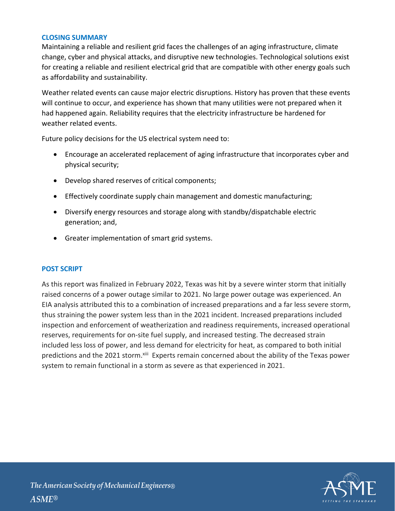## **CLOSING SUMMARY**

Maintaining a reliable and resilient grid faces the challenges of an aging infrastructure, climate change, cyber and physical attacks, and disruptive new technologies. Technological solutions exist for creating a reliable and resilient electrical grid that are compatible with other energy goals such as affordability and sustainability.

Weather related events can cause major electric disruptions. History has proven that these events will continue to occur, and experience has shown that many utilities were not prepared when it had happened again. Reliability requires that the electricity infrastructure be hardened for weather related events.

Future policy decisions for the US electrical system need to:

- Encourage an accelerated replacement of aging infrastructure that incorporates cyber and physical security;
- Develop shared reserves of critical components;
- Effectively coordinate supply chain management and domestic manufacturing;
- Diversify energy resources and storage along with standby/dispatchable electric generation; and,
- Greater implementation of smart grid systems.

### **POST SCRIPT**

As this report was finalized in February 2022, Texas was hit by a severe winter storm that initially raised concerns of a power outage similar to 2021. No large power outage was experienced. An EIA analysis attributed this to a combination of increased preparations and a far less severe storm, thus straining the power system less than in the 2021 incident. Increased preparations included inspection and enforcement of weatherization and readiness requirements, increased operational reserves, requirements for on-site fuel supply, and increased testing. The decreased strain included less loss of power, and less demand for electricity for heat, as compared to both initial predictions and the 2021 storm. Xili Experts remain concerned about the ability of the Texas power system to remain functional in a storm as severe as that experienced in 2021.